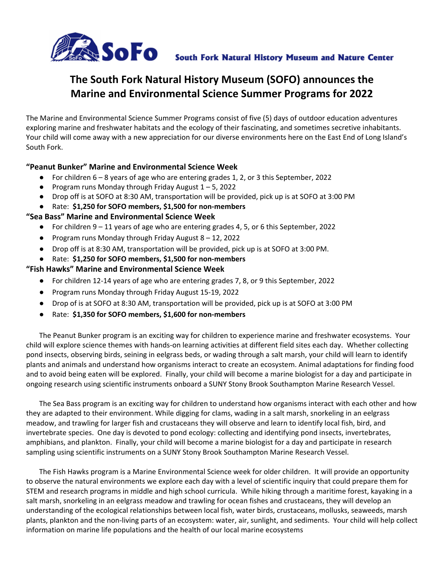

# **The South Fork Natural History Museum (SOFO) announces the Marine and Environmental Science Summer Programs for 2022**

The Marine and Environmental Science Summer Programs consist of five (5) days of outdoor education adventures exploring marine and freshwater habitats and the ecology of their fascinating, and sometimes secretive inhabitants. Your child will come away with a new appreciation for our diverse environments here on the East End of Long Island's South Fork.

#### **"Peanut Bunker" Marine and Environmental Science Week**

- For children 6 8 years of age who are entering grades 1, 2, or 3 this September, 2022
- **•** Program runs Monday through Friday August  $1 5$ , 2022
- Drop off is at SOFO at 8:30 AM, transportation will be provided, pick up is at SOFO at 3:00 PM
- Rate: \$1,250 for SOFO members, \$1,500 for non-members

#### **"Sea Bass" Marine and Environmental Science Week**

- For children 9 11 years of age who are entering grades 4, 5, or 6 this September, 2022
- Program runs Monday through Friday August 8 12, 2022
- Drop off is at 8:30 AM, transportation will be provided, pick up is at SOFO at 3:00 PM.
- Rate: **\$1,250 for SOFO members, \$1,500 for non-members**

#### **"Fish Hawks" Marine and Environmental Science Week**

- For children 12-14 years of age who are entering grades 7, 8, or 9 this September, 2022
- Program runs Monday through Friday August 15-19, 2022
- Drop of is at SOFO at 8:30 AM, transportation will be provided, pick up is at SOFO at 3:00 PM
- Rate: **\$1,350 for SOFO members, \$1,600 for non-members**

The Peanut Bunker program is an exciting way for children to experience marine and freshwater ecosystems. Your child will explore science themes with hands-on learning activities at different field sites each day. Whether collecting pond insects, observing birds, seining in eelgrass beds, or wading through a salt marsh, your child will learn to identify plants and animals and understand how organisms interact to create an ecosystem. Animal adaptations for finding food and to avoid being eaten will be explored. Finally, your child will become a marine biologist for a day and participate in ongoing research using scientific instruments onboard a SUNY Stony Brook Southampton Marine Research Vessel.

The Sea Bass program is an exciting way for children to understand how organisms interact with each other and how they are adapted to their environment. While digging for clams, wading in a salt marsh, snorkeling in an eelgrass meadow, and trawling for larger fish and crustaceans they will observe and learn to identify local fish, bird, and invertebrate species. One day is devoted to pond ecology: collecting and identifying pond insects, invertebrates, amphibians, and plankton. Finally, your child will become a marine biologist for a day and participate in research sampling using scientific instruments on a SUNY Stony Brook Southampton Marine Research Vessel.

The Fish Hawks program is a Marine Environmental Science week for older children. It will provide an opportunity to observe the natural environments we explore each day with a level of scientific inquiry that could prepare them for STEM and research programs in middle and high school curricula. While hiking through a maritime forest, kayaking in a salt marsh, snorkeling in an eelgrass meadow and trawling for ocean fishes and crustaceans, they will develop an understanding of the ecological relationships between local fish, water birds, crustaceans, mollusks, seaweeds, marsh plants, plankton and the non-living parts of an ecosystem: water, air, sunlight, and sediments. Your child will help collect information on marine life populations and the health of our local marine ecosystems